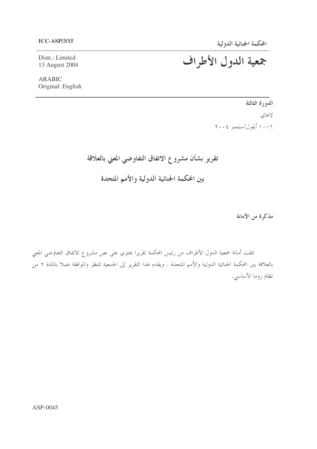Distr.: Limited 13 August 2004

**ARABIC** Original: English جمعية الدول الأطراف

الدورة الثالثة لاهای  $Y \cdot Y$ ا أيلول /سبتمبر ٢٠٠٤

تقرير بشأن مشروع الاتفاق التفاوضي المعني بالعلاقة

بين المحكمة الجنائية الدولية والأمم المتحدة

مذكرة من الأمانة

تلقت أمانة جمعية الدول الأطراف من رئيس المحكمة تقريرا يحتوي على نص مشروع الاتفاق التفاوضي المعني بالعلاقة بين المحكمة الجنائية الدولية والأمم المتحدة . ويقدم هذا التقرير إلى الجمعية للنظر والموافقة عملا بالمادة ٢ من نظام روما الأساسي.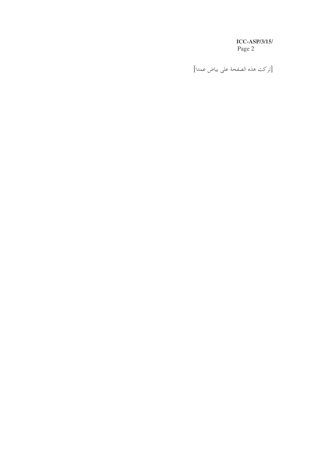[تركت هذه الصفحة على بياض عمدا]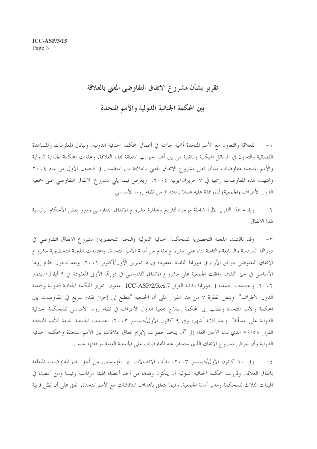# تقرير بشأن مشروع الاتفاق التفاوضي المعنى بالعلاقة

بين المحكمة الجنائية الدولية والأمم المتحدة

للعلاقة والتعاون مع الأمم المتحدة أهمية حاسمة في أعمال المحكمة الجنائية الدولية. وتبادل المعلومات والمساعدة  $-1$ القضائية والتعاون في المسائل الهيكلية والتقنية من بين أهم الجوانب المتعلقة بمذه العلاقة. وعقدت المحكمة الجنائية الدولية والأمم المتحدة مفاوضات بشأن نص مشروع الاتفاق المعنى بالعلاقة بين المنظمتين في النصف الأول من عام ٢٠٠٤ وانتهت هذه المفاوضات رسميا في ٧ حزيران/يونيه ٢٠٠٤. ويعرض فيما يلي مشروع الاتفاق التفاوضي على جمعية الدول الأطراف (الجمعية) للموافقة عليه عملاً بالمادة ٢ من نظام روما الأساسي.

ويقدم هذا التقرير نظرة شاملة موجزة لتاريخ وخلفية مشروع الاتفاق التفاوضي ويبرز بعض الأحكام الرئيسية  $-\gamma$ لهذا الاتفاق.

٣– وقد ناقشت اللجنة التحضيرية للمحكمة الجنائية الدولية (اللجنة التحضيرية) مشروع الاتفاق التفاوضي في دورالها السادسة والسابعة والثامنة بناء على مشروع مقدم من أمانة الأمم المتحدة. واعتمدت اللجنة التحضيرية مشروع الاتفاق التفاوضي بتوافق الآراء في دورتما الثامنة المعقودة في ٥ تشرين الأول/أكتوبر ٢٠٠١. وبعد دحول نظام روما الأساسي في حيز النفاذ، وافقت الجمعية على مشروع الاتفاق التفاوضي في دورها الأولى المعقودة في ٩ أيلول/سبتمبر ٢٠٠٢. واعتمدت الجمعية في دورتما الثانية القرار ICC-ASP/2/Res.7 المعنون "تعزيز المحكمة الجنائية الدولية وجمعية الدول الأطراف". وتنص الفقرة ٧ من هذا القرار على أن الجمعية "تتطلع إلى إحراز تقدم سريع في المفاوضات بين المحكمة والأمم المتحدة وتطلب إلى المحكمة إطلاع جمعية الدول الأطراف في نظام روما الأساسي للمحكمة الجنائية الدولية على المسألة". وبعد ثلاثة أشهر، وفي ٩ كانون الأول/ديسمبر ٢٠٠٣، اعتمدت الجمعية العامة للأمم المتحدة القرار ٧٩/٥٨ الذي دعا الأمين العام إلى "أن يتخذ خطوات لإبرام اتفاق علاقات بين الأمم المتحدة والمحكمة الجنائية الدولية وأن يعرض مشروع الاتفاق الذي ستسفر عنه المفاوضات على الجمعية العامة لموافقتها عليه".

وفي ١٠ كانون الأول/ديسمبر ٢٠٠٣، بدأت الاتصالات بين المؤسستين من أجل بدء المفاوضات المتعلقة  $-\xi$ باتفاق العلاقة. وقررت المحكمة الجنائية الدولية أن يتكون وفدها من أحد أعضاء الهيئة الرئاسية رئيسا ومن أعضاء في الهيئات الثلاث للمحكمة ومدير أمانة الجمعية. وفيما يتعلق بأهداف المناقشات مع الأمم المتحدة، اتفق على أن تظل قريبة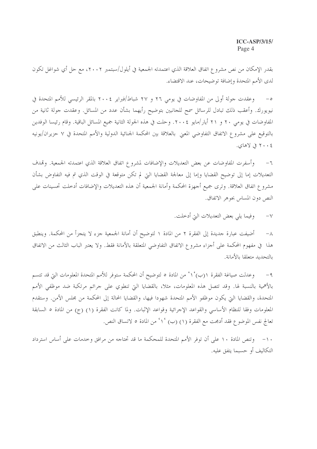بقدر الإمكان من نص مشروع اتفاق العلاقة الذي اعتمدته الجمعية في أيلول/سبتمبر ٢٠٠٢، مع حل أي شواغل تكون لدى الأمم المتحدة وإضافة توضيحات، عند الاقتضاء.

وعقدت جولة أولى من المفاوضات في يومي ٢٦ و ٢٧ شباط/فبراير ٢٠٠٤ بالمقر الرئيسي للأمم المتحدة في  $-\circ$ نيويورك. وأعقب ذلك تبادل للرسائل سمح للجانبين بتوضيح رأيهما بشأن عدد من المسائل. وعقدت جولة ثانية من المفاوضات في يومي ٢٠ و ٢١ أيار/مايو ٢٠٠٤. وحلت في هذه الجولة الثانية جميع المسائل الباقية. وقام رئيسا الوفدين بالتوقيع على مشروع الاتفاق التفاوضي المعنى بالعلاقة بين المحكمة الجنائية الدولية والأمم المتحدة في ٧ حزيران/يونيه ٢٠٠٤ في لاهاي.

وأسفرت المفاوضات عن بعض التعديلات والإضافات لمشروع اتفاق العلاقة الذي اعتمدته الجمعية. وقمدف  $-7$ التعديلات إما إلى توضيح القضايا وإما إلى معالجة القضايا التي لم تكن متوقعة في الوقت الذي تم فيه التفاوض بشأن مشروع اتفاق العلاقة. وترى جميع أجهزة المحكمة وأمانة الجمعية أن هذه التعديلات والإضافات أدخلت تحسينات على النص دون المساس بجوهر الاتفاق.

> وفيما يلي بعض التعديلات التي أدخلت.  $-\gamma$

أضيفت عبارة حديدة إلى الفقرة ٢ من المادة ١ لتوضيح أن أمانة الجمعية جزء لا يتجزأ من المحكمة. وينطبق  $-\lambda$ هذا ً في مفهوم المحكمة على أجزاء مشروع الاتفاق التفاوضي المتعلقة بالأمانة فقط. ولا يعتبر الباب الثالث من الاتفاق بالتحديد متعلقا بالأمانة.

وعدلت صياغة الفقرة ١(ب) ٢٠ من المادة ٥ لتوضيح أن المحكمة ستوفر للأمم المتحدة المعلومات التي قد تتسم  $-9$ بالأهمية بالنسبة لها. وقد تتصل هذه المعلومات، مثلاً، بالقضايا التي تنطوي على جرائم مرتكبة ضد موظفي الأمم المتحدة، والقضايا التي يكون موظفو الأمم المتحدة شهودا فيها، والقضايا المحالة إلى المحكمة من مجلس الأمن. وستقدم المعلومات وفقا للنظام الأساسي والقواعد الإحرائية وقواعد الإثبات. ولما كانت الفقرة (١) (ج) من المادة ٥ السابقة تعالج نفس الموضوع فقد أدمجت مع الفقرة (١) (ب) '١' من المادة ٥ لاتساق النص.

١٠– وتنص المادة ١٠ على أن توفر الأمم المتحدة للمحكمة ما قد تحتاجه من مرافق وحدمات على أساس استرداد التكاليف أو حسبما يتفق عليه.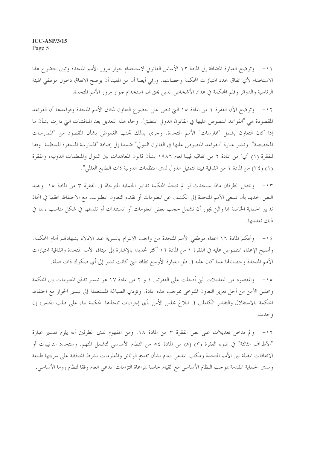١١- وتوضح العبارة المضافة إلى المادة ١٢ الأساس القانوين لاستخدام جواز مرور الأمم المتحدة وتبين حضوع هذا الاستخدام لأي اتفاق يحدد امتيازات المحكمة وحصانتها. ورئي أيضا أن من المفيد أن يوضح الاتفاق دخول موظفي الهيئة الرئاسية والدوائر وقلم المحكمة في عداد الأشخاص الذين يحق لهم استخدام جواز مرور الأمم المتحدة.

١٢ – وتوضح الآن الفقرة ١ من المادة ١٥ التي تنص على خضوع التعاون لميثاق الأمم المتحدة وقواعدها أن القواعد المقصودة هي "القواعد المنصوص عليها في القانون الدولي المنطبق". وجاء هذا التعديل بعد المناقشات التي دارت بشأن ما إذا كان التعاون يشمل "ممارسات" الأمم المتحدة. وجرى بذلك تجنب الغموض بشأن المقصود من "الممارسات المخصصة". وتشير عبارة "القواعد المنصوص عليها في القانون الدولي" ضمنيا إلى إضافة "الممارسة المستقرة للمنظمة" وفقا للفقرة (١) 'ي' من المادة ٢ من اتفاقية فيينا لعام ١٩٨٦ بشأن قانون المعاهدات بين الدول والمنظمات الدولية، والفقرة (١) (٣٤) من المادة ١ من اتفاقية فيينا لتمثيل الدول لدى المنظمات الدولية ذات الطابع العالمي".

١٣- وناقش الطرفان ماذا سيحدث لو لم تتخذ المحكمة تدابير الحماية المتوحاة في الفقرة ٣ من المادة ١٥. ويفيد النص الجديد بأن تسعى الأمم المتحدة إلى الكشف عن المعلومات أو تقديم التعاون المطلوب، مع الاحتفاظ بحقها في اتخاذ تدابير الحماية الخاصة بما والتي يجوز أن تشمل حجب بعض المعلومات أو المستندات أو تقديمها في شكل مناسب ، بما في ذلك تعديلها.

١٤ – وتحكم المادة ١٦ اعفاء موظفي الأمم المتحدة من واحب الالتزام بالسرية عند الادلاء بشهادقم أمام المحكمة. وأصبح الإعفاء المنصوص عليه في الفقرة ١ من المادة ١٦ أكثر تحديدا بالإشارة إلى ميثاق الأمم المتحدة واتفاقية امتيازات الأمم المتحدة وحصاناقما عما كان عليه في ظل العبارة الأوسع نطاقا التي كانت تشير إلى أي صكوك ذات صلة.

١٥– والمقصود من التعديلات التي أدخلت على الفقرتين ١ و ٢ من المادة ١٧ هو تيسير تدفق المعلومات بين المحكمة ومجلس الأمن من أحل تعزيز التعاون المتوحى بموحب هذه المادة. وتؤدي الصياغة المستعملة إلى تيسير الحوار مع احتفاظ المحكمة بالاستقلال والتقدير الكاملين في ابلاغ مجلس الأمن بأي إجراءات تتخذها المحكمة بناء على طلب المحلس، إن و جدت.

١٦- ولم تدخل تعديلات على نص الفقرة ٣ من المادة ١٨. ومن المفهوم لدى الطرفين أنه يلزم تفسير عبارة "الأطراف الثالثة" في ضوء الفقرة (٣) (هـ) من المادة ٤٥ من النظام الأساسي لتشمل المتهم. وستحدد الترتيبات أو الاتفاقات المقبلة بين الأمم المتحدة ومكتب المدعى العام بشأن تقديم الوثائق والمعلومات بشرط المحافظة على سريتها طبيعة ومدى الحماية المقدمة بموجب النظام الأساسي مع القيام خاصة بمراعاة التزامات المدعى العام وفقا لنظام روما الأساسي.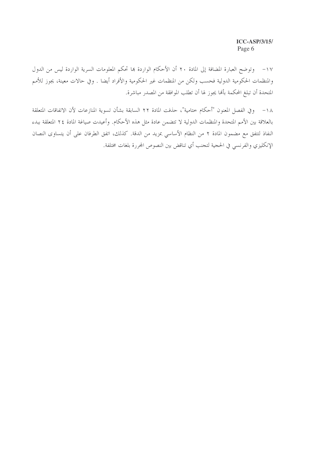وتوضح العبارة المضافة إلى المادة ٢٠ أن الأحكام الواردة بما تحكم المعلومات السرية الواردة ليس من الدول  $-1V$ والمنظمات الحكومية الدولية فحسب ولكن من المنظمات غير الحكومية والأفراد أيضا . وفي حالات معينة، يجوز للأمم المتحدة أن تبلغ المحكمة بألها يجوز لها أن تطلب الموافقة من المصدر مباشرة.

١٨– وفي الفصل المعنون "أحكام ختامية"، حذفت المادة ٢٢ السابقة بشأن تسوية المنازعات لأن الاتفاقات المتعلقة بالعلاقة بين الأمم المتحدة والمنظمات الدولية لا تتضمن عادة مثل هذه الأحكام. وأعيدت صياغة المادة ٢٤ المتعلقة ببدء النفاذ لتتفق مع مضمون المادة ٢ من النظام الأساسي بمزيد من الدقة. كذلك، اتفق الطرفان على أن يتساوى النصان الإنكليزي والفرنسي في الحجية لتجنب أي تناقض بين النصوص المحررة بلغات مختلفة.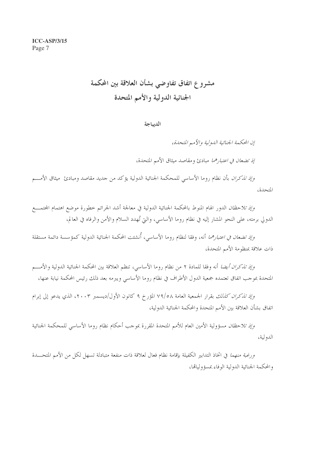# مشروع اتفاق تفاوضي بشأن العلاقة بين المحكمة الجنائية الدولية والأمم المتحدة

#### الديباجة

إن المحكمة الجنائية الدولية والأمير المتحدة،

إِذْ تَضِعَانَ فِي اعْتِبَارِهُمَا مِبَادِئٍ وَمَقَاصِدٍ مِيثَاقِ الأَمْمِ الْمَتَّحَدَةِ،

وإذ *تذكران* بأن نظام روما الأساسي للمحكمة الجنائية الدولية يؤكد من جديد مقاصد ومبادئ ميثاق الأمـــم المتحدة،

*وإذ تلاحظان* الدور الهام المنوط بالمحكمة الجنائية الدولية في معالجة أشد الجرائم خطورة موضع اهتمام المجتمـــع الدولي برمته، على النحو المشار إليه في نظام روما الأساسي، والتي تُهدد السلام والأمن والرفاه في العالم،

*وإذ تضعان في اعتبارهما* أنه، وفقا لنظام روما الأساسي، أُنشئت المحكمة الجنائية الدولية كمؤسسة دائمة مستقلة ذات علاقة بمنظومة الأمم المتحدة،

وإِ*ذِ تذكران أيضا* أنه وفقا للمادة ٢ من نظام روما الأساسي، تنظم العلاقة بين المحكمة الجنائية الدولية والأمـــم المتحدة بموجب اتفاق تعتمده جمعية الدول الأطراف في نظام روما الأساسي ويبرمه بعد ذلك رئيس المحكمة نيابة عنها،

و*إذ تذكران كذلك* بقرار الجمعية العامة ٧٩/٥٨ المؤرخ ٩ كانون الأول/ديسمبر ٢٠٠٣، الذي يدعو إلى إبرام اتفاق بشأن العلاقة بين الأمم المتحدة والمحكمة الجنائية الدولية،

*وإذ تلاحظان* مسؤولية الأمين العام للأمم المتحدة المقررة بموحب أحكام نظام روما الأساسي للمحكمة الجنائية الدولية،

ورغبة *منهما* في اتخاذ التدابير الكفيلة بإقامة نظام فعال لعلاقة ذات منفعة متبادلة تسهل لكل من الأمم المتحــــدة والمحكمة الجنائية الدولية الوفاء بمسؤولياقما،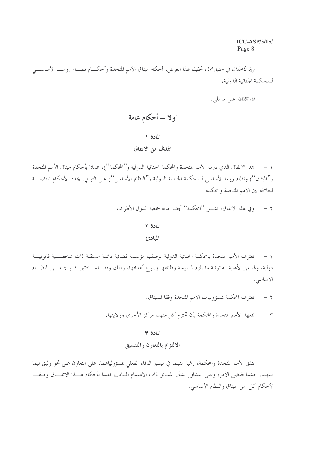*وإذ تأخذان في اعتبارهما*، تحقيقا لهذا الغرض، أحكام ميثاق الأمم المتحدة وأحكـــام نظـــام رومــــا الأساســــى للمحكمة الجنائية الدولية،

ق*د اتفقتا ع*لى ما يلي:

# أولا – أحكام عامة

#### المادة ١

# الهدف من الاتفاق

هذا الاتفاق الذي تبرمه الأمم المتحدة والمحكمة الجنائية الدولية (''المحكمة'')، عملا بأحكام ميثاق الأمم المتحدة  $-1$ (''الميثاق'') ونظام روما الأساسي للمحكمة الجنائية الدولية (''النظام الأساسي'') على التوالي، يحدد الأحكام المنظمـــة للعلاقة بين الأمم المتحدة والمحكمة.

٢ – وفي هذا الاتفاق، تشمل ''المحكمة'' أيضا أمانة جمعية الدول الأطراف.

#### المادة ٢

#### المبادئ

١ – تعترف الأمم المتحدة بالمحكمة الجنائية الدولية بوصفها مؤسسة قضائية دائمة مستقلة ذات شخصـــية قانونيـــة دولية، ولها من الأهلية القانونية ما يلزم لممارسة وظائفها وبلوغ أهدافها، وذلك وفقا للمـــادتين ١ و ٤ مـــن النظـــام الأساسى.

- ٢ تعترف المحكمة بمسؤوليات الأمم المتحدة وفقا للميثاق.
- ٣ تتعهد الأمم المتحدة والمحكمة بأن تحترم كل منهما مركز الأخرى وولايتها.

#### المادة ٣

# الالتزام بالتعاون والتنسيق

تتفق الأمم المتحدة والمحكمة، رغبة منهما في تيسير الوفاء الفعلي بمسؤولياقمما، على التعاون على نحو وثيق فيما بينهما، حيثما اقتضى الأمر، وعلى التشاور بشأن المسائل ذات الاهتمام المتبادل، تقيدا بأحكام هـــذا الاتفـــاق وطبقـــا لأحكام كل من الميثاق والنظام الأساسي.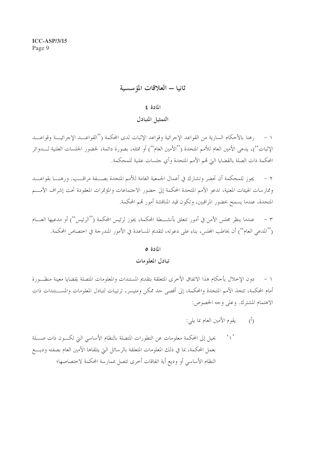# ثانيا – العلاقات المؤسسية

# المادة ٤

# التمثيل المتبادل

رهنا بالأحكام السارية من القواعد الإجرائية وقواعد الإثبات لدى المحكمة (''القواعـــد الإجرائيـــة وقواعـــد  $-1$ الإثبات'')، يدعى الأمين العام للأمم المتحدة (''الأمين العام'') أو ممثله، بصورة دائمة، لحضور الجلسات العلنية لــــدوائر المحكمة ذات الصلة بالقضايا التي قمم الأمم المتحدة وأي جلسات علنية للمحكمة.

يجوز للمحكمة أن تحضر وتشارك في أعمال الجمعية العامة للأمم المتحدة بصـــفة مراقـــب. ورهنــــا بقواعــــد  $-7$ وممارسات الهيئات المعنية، تدعو الأمم المتحدة المحكمة إلى حضور الاجتماعات والمؤتمرات المعقودة تحت إشراف الأمـــم المتحدة، عندما يسمح بحضور المراقبين، وتكون قيد المناقشة أمور قمم المحكمة.

عندما ينظر مجلس الأمن في أمور تتعلق بأنشـــطة المحكمة، يجوز لرئيس المحكمة (''الرئيس'') أو مدعيها العــــام  $\tau$ (''المدعى العام'') أن يخاطب المجلس، بناء على دعوته، لتقديم المساعدة في الأمور المندرجة في اختصاص المحكمة.

# المادة ٥

#### تبادل المعلومات

دون الإخلال بأحكام هذا الاتفاق الأخرى المتعلقة بتقديم المستندات والمعلومات المتصلة بقضايا معينة منظــورة  $-1$ أمام المحكمة، تتخذ الأمم المتحدة والمحكمة، إلى أقصى حد ممكن ومتيسر، ترتيبات لتبادل المعلومات والمســـتندات ذات الاهتمام المشترك. وعلى وجه الخصوص:

- يقوم الأمين العام بما يلي:  $\hat{(\cdot)}$
- يحيل إلى المحكمة معلومات عن التطورات المتصلة بالنظام الأساسى التي تكــون ذات صـــلة  $\left\langle \right\rangle$ بعمل المحكمة، بما في ذلك المعلومات المتعلقة بالرسائل التي يتلقاها الأمين العام بصفته وديــــع النظام الأساسي أو وديع أية اتفاقات أخرى تتصل بممارسة المحكمة لاختصاصها؛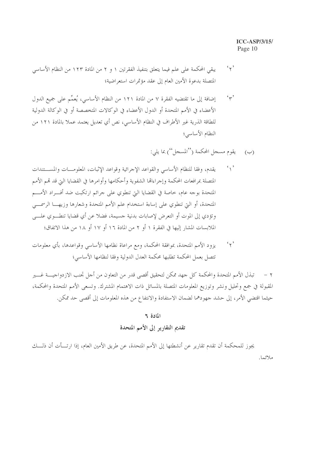- $\mathfrak{c}_{\gamma}$ , يبقى المحكمة على علم فيما يتعلق بتنفيذ الفقرتين ١ و ٢ من المادة ١٢٣ من النظام الأساسي المتصلة بدعوة الأمين العام إلى عقد مؤتمرات استعراضية؛
- إضافة إلى ما تقتضيه الفقرة ٧ من المادة ١٢١ من النظام الأساسي، يُعمِّم على جميع الدول  $44.2$ الأعضاء في الأمم المتحدة أو الدول الأعضاء في الوكالات المتخصصة أو في الوكالة الدولية للطاقة الذرية غير الأطراف في النظام الأساسي، نص أي تعديل يعتمد عملا بالمادة ١٢١ من النظام الأساسي؛
	- يقوم مسجل المحكمة (''المسجل'') بما يلي:  $(\hookrightarrow)$
- $\mathcal{L}_{\setminus}$ يقدم، وفقا للنظام الأساسي والقواعد الإجرائية وقواعد الإثبات، المعلومـــات والمســـتندات المتصلة بمرافعات المحكمة وإجراءالها الشفوية وأحكامها وأوامرها في القضايا التي قد تمم الأمم المتحدة بوجه عام، حاصة في القضايا التي تنطوي على جرائم ارتكبت ضد أفــراد الأمـــم المتحدة، أو التي تنطوي على إساءة استخدام علم الأمم المتحدة وشعارها وزيهـــا الرسمـــي وتؤدي إلى الموت أو التعرض لإصابات بدنية جسيمة، فضلا عن أي قضايا تنطــوي علـــي الملابسات المشار إليها في الفقرة ١ أو ٢ من المادة ١٦ أو ١٧ أو ١٨ من هذا الاتفاق؛
- $\mathfrak{c}_{\mathfrak{y}}$ يزود الأمم المتحدة، بموافقة المحكمة، ومع مراعاة نظامها الأساسي وقواعدها، بأي معلومات تتصل بعمل المحكمة تطلبها محكمة العدل الدولية وفقا لنظامها الأساسي؛

٢ – تبذل الأمم المتحدة والمحكمة كل جهد ممكن لتحقيق أقصى قدر من التعاون من أجل تجنب الازدواجيـــة غـــير المقبولة في جمع وتحليل ونشر وتوزيع المعلومات المتصلة بالمسائل ذات الاهتمام المشترك. وتسعى الأمم المتحدة والمحكمة، حيثما اقتضى الأمر، إلى حشد جهودهما لضمان الاستفادة والانتفاع من هذه المعلومات إلى أقصى حد ممكن.

#### المادة ٢

# تقديم التقارير إلى الأمم المتحدة

يجوز للمحكمة أن تقدم تقارير عن أنشطتها إلى الأمم المتحدة، عن طريق الأمين العام، إذا ارتـــأت أن ذلـــك ملائما.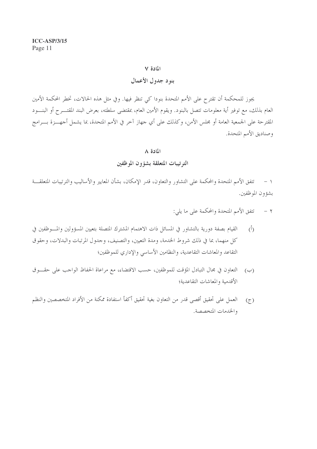#### بنود جدول الأعمال

يجوز للمحكمة أن تقترح على الأمم المتحدة بنودا كي تنظر فيها. وفي مثل هذه الحالات، تخطر المحكمة الأمين العام بذلك، مع توفير أية معلومات تتصل بالبنود. ويقوم الأمين العام، بمقتضى سلطته، بعرض البند المقتـــرح أو البنــــود المقترحة على الجمعية العامة أو مجلس الأمن، وكذلك على أي جهاز آخر في الأمم المتحدة، بما يشمل أجهـــزة بــــرامج وصناديق الأمم المتحدة.

#### المادة ٨

#### الترتيبات المتعلقة بشؤون الموظفين

١ – تتفق الأمم المتحدة والمحكمة على التشاور والتعاون، قدر الإمكان، بشأن المعايير والأساليب والترتيبات المتعلقـــة بشؤون الموظفين.

> تتفق الأمم المتحدة والمحكمة على ما يلي:  $-7$

- القيام بصفة دورية بالتشاور في المسائل ذات الاهتمام المشترك المتصلة بتعيين المسؤولين والمسوظفين في  $(\dot{0})$ كل منهما، بما في ذلك شروط الخدمة، ومدة التعيين، والتصنيف، وجدول المرتبات والبدلات، وحقوق التقاعد والمعاشات التقاعدية، والنظامين الأساسي والإداري للموظفين؛
- التعاون في مجال التبادل المؤقت للموظفين، حسب الاقتضاء، مع مراعاة الحفاظ الواحب على حقـــوق  $(\hookrightarrow)$ الأقدمية والمعاشات التقاعدية؛
- العمل على تحقيق أقصى قدر من التعاون بغية تحقيق أكفأ استفادة ممكنة من الأفراد المتخصصين والنظم  $(7)$ والخدمات المتخصصة.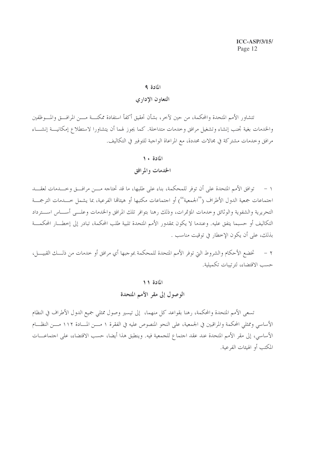# التعاون الإداري

تتشاور الأمم المتحدة والمحكمة، من حين لآخر، بشأن تحقيق أكفأ استفادة ممكنـــة مـــن المرافـــق والمـــوظفين والخدمات بغية تجنب إنشاء وتشغيل مرافق وحدمات متداحلة. كما يجوز لهما أن يتشاورا لاستطلاع إمكانيسة إنشساء مرافقٍ وخدماتٍ مشترِكةٍ في مجالاتٍ محددةٍ، مع المراعاة الواجبة للتوفير في التكاليف.

#### المادة ١٠

# الخدمات والمرافق

١ – توافق الأمم المتحدة على أن توفر للمحكمة، بناء على طلبها، ما قد تحتاجه مــــن مرافـــق وخـــدمات لعقـــد اجتماعات جمعية الدول الأطراف (''الجمعية'') أو اجتماعات مكتبها أو هيئالها الفرعية، بما يشمل حـــدمات الترجمـــة التحريرية والشفوية والوثائق وحدمات المؤتمرات، وذلك رهنا بتوافر تلك المرافق والخدمات وعلــبي أســـاس اســـترداد التكاليف أو حسبما يتفق عليه. وعندما لا يكون بمقدور الأمم المتحدة تلبية طلب المحكمة، تبادر إلى إخطـــار المحكمـــة بذلك، على أن يكون الإخطار في توقيت مناسب .

تخضع الأحكام والشروط التي توفر الأمم المتحدة للمحكمة بموجبها أي مرافق أو حدمات من ذلـــك القبيــــل،  $-7$ حسب الاقتضاء، لترتيبات تكميلية.

#### المادة ١١

# الوصول إلى مقر الأمم المتحدة

تسعى الأمم المتحدة والمحكمة، رهنا بقواعد كلِّ منهما، إلى تيسير وصول ممثلي جميع الدول الأطراف في النظام الأساسي وممثلي المحكمة والمراقبين في الجمعية، على النحو المنصوص عليه في الفقرة ١ مـــن المـــادة ١١٢ مـــن النظـــام الأساسي، إلى مقر الأمم المتحدة عند عقد اجتماع للجمعية فيه. وينطبق هذا أيضا، حسب الاقتضاء، على اجتماعـــات المكتب أو الهيئات الفرعية.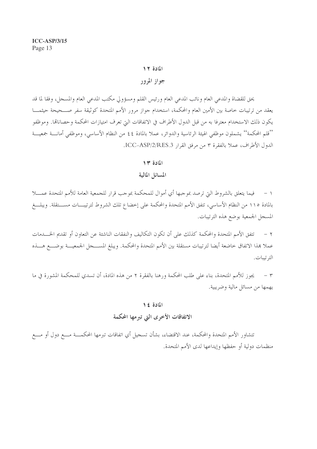# جواز المرور

يحق للقضاة والمدعى العام ونائب المدعى العام ورئيس القلم ومسؤولي مكتب المدعى العام والمسجل، وفقا لما قد يعقد من ترتيبات خاصة بين الأمين العام والمحكمة، استخدام جواز مرور الأمم المتحدة كوثيقة سفر صــحيحة حيثمـــا يكون ذلك الاستخدام معترفا به من قبل الدول الأطراف في الاتفاقات التي تعرف امتيازات المحكمة وحصاناتما. وموظفو ''قلم المحكمة'' يشملون موظفى الهيئة الرئاسية والدوائر، عملا بالمادة ٤٤ من النظام الأساسي، وموظفي أمانــــة جمعيـــة الدول الأطراف، عملا بالفقرة ٣ من مرفق القرار ICC-ASP/2/RES.3.

#### المادة ١٣

#### المسائل المالية

١ – فيما يتعلق بالشروط التي ترصد بموجبها أي أموال للمحكمة بموجب قرار للجمعية العامة للأمم المتحدة عمــــلا بالمادة ١١٥ من النظام الأساسي، تتفق الأمم المتحدة والمحكمة على إحضاع تلك الشروط لترتيبـــات مســـتقلة. ويبلـــغ المسحل الجمعية بوضع هذه الترتيبات.

تتفق الأمم المتحدة والمحكمة كذلك على أن تكون التكاليف والنفقات الناشئة عن التعاون أو تقديم الخـــدمات  $-7$ عملا هذا الاتفاق حاضعة أيضا لترتيبات مستقلة بين الأمم المتحدة والمحكمة. ويبلغ المســـجل الجمعيـــة بوضــــع هـــذه الترتسات.

٣ – يجوز للأمم المتحدة، بناء على طلب المحكمة ورهنا بالفقرة ٢ من هذه المادة، أن تسدي للمحكمة المشورة في ما يهمها من مسائل مالية وضريبية.

#### المادة ١٤

# الاتفاقات الأخرى التي تبرمها المحكمة

تتشاور الأمم المتحدة والمحكمة، عند الاقتضاء، بشأن تسجيل أي اتفاقات تبرمها المحكمـــة مــــع دول أو مــــع منظمات دولية أو حفظها وإيداعها لدى الأمم المتحدة.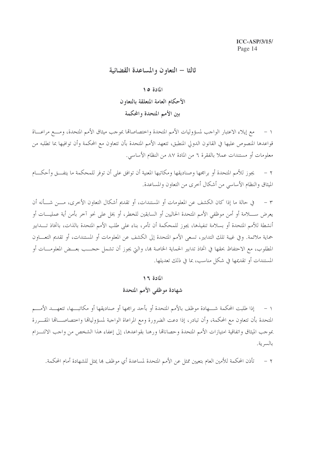# ثالثا – التعاون والمساعدة القضائية

#### المادة ١٥

# الأحكام العامة المتعلقة بالتعاون بين الأمم المتحدة والمحكمة

مع إيلاء الاعتبار الواجب لمسؤوليات الأمم المتحدة واختصاصاتها بموجب ميثاق الأمم المتحدة، ومسع مراعساة  $-1$ قواعدها المنصوص عليها في القانون الدولي المنطبق، تتعهد الأمم المتحدة بأن تتعاون مع المحكمة وأن توافيها بما تطلبه من معلومات أو مستندات عملا بالفقرة ٦ من المادة ٨٧ من النظام الأساسي.

يجوز للأمم المتحدة أو برامجها وصناديقها ومكاتبها المعنية أن توافق على أن توفر للمحكمة ما يتفــق وأحكـــام  $-7$ الميثاق والنظام الأساسي من أشكال أحرى من التعاون والمساعدة.

في حالة ما إذا كان الكشف عن المعلومات أو المستندات، أو تقديم أشكال التعاون الأخرى، مـــن شـــأنه أن  $\tau$ يعرض ســــلامة أو أمن موظفي الأمم المتحدة الحاليين أو السابقين للخطر، أو يخل على نحو آخر بأمن أية عمليــــات أو أنشطة للأمم المتحدة أو بسلامة تنفيذها، يجوز للمحكمة أن تأمر، بناء على طلب الأمم المتحدة بالذات، باتخاذ تـــدابير حماية ملائمة. وفي غيبة تلك التدابير، تسعى الأمم المتحدة إلى الكشف عن المعلومات أو المستندات، أو تقديم التعـــاون المطلوب، مع الاحتفاظ بحقها في اتخاذ تدابير الحماية الخاصة بما، والتي يجوز أن تشمل حجـــب بعــض المعلومـــات أو المستندات أو تقديمها في شكل مناسب، بما في ذلك تعديلها.

#### المادة ١٦

# شهادة موظفي الأمم المتحدة

إذا طلبت المحكمة شــــهادة موظف بالأمم المتحدة أو بأحد برامجها أو صناديقها أو مكاتبـــها، تتعهــــد الأمــــم  $-1$ المتحدة بأن تتعاون مع المحكمة، وأن تبادر، إذا دعت الضرورة ومع المراعاة الواجبة لمسؤولياقما واختصاصـــاقما المقــــررة بموجب الميثاق واتفاقية امتيازات الأمم المتحدة وحصاناقما ورهنا بقواعدها، إلى إعفاء هذا الشخص من واجب الالتـــزام بالسرية.

تأذن المحكمة للأمين العام بتعيين ممثل عن الأمم المتحدة لمساعدة أي موظف بما يمثل للشهادة أمام المحكمة.  $-7$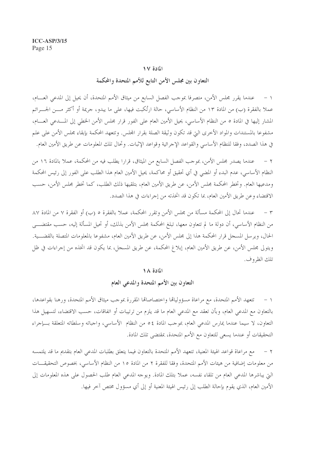# التعاون بين مجلس الأمن التابع للأمم المتحدة والمحكمة

١ – عندما يقرر مجلس الأمن، متصرفا بموجب الفصل السابع من ميثاق الأمم المتحدة، أن يحيل إلى المدعى العسام، عملا بالفقرة (ب) من المادة ١٣ من النظام الأساسي، حالة ارتُكبت فيها، على ما يبدو، جريمة أو أكثر مـــن الجـــرائم المشار إليها في المادة ٥ من النظام الأساسي، يحيل الأمين العام على الفور قرار مجلس الأمن الخطي إلى المســدعي العســام، مشفوعا بالمستندات والمواد الأخرى التي قد تكون وثيقة الصلة بقرار المحلس. وتتعهد المحكمة بإبقاء مجلس الأمن على علم في هذا الصدد، وفقا للنظام الأساسي والقواعد الإجرائية وقواعد الإثبات. وتحال تلك المعلومات عن طريق الأمين العام.

عندما يصدر مجلس الأمن، بموجب الفصل السابع من الميثاق، قرارًا يطلب فيه من المحكمة، عملاً بالمادة ١٦ من  $-7$ النظام الأساسي، عدم البدء أو المضي في أي تحقيق أو محاكمة، يحيل الأمين العام هذا الطلب على الفور إلى رئيس المحكمة ومدعيها العام. وتخطر المحكمة مجلس الأمن، عن طريق الأمين العام، بتلقيها ذلك الطلب، كما تخطر مجلس الأمن، حسب الاقتضاء وعن طريق الأمين العام، بما تكون قد اتخذته من إجراءات في هذا الصدد.

عندما تحال إلى المحكمة مسألة من مجلس الأمن وتقرر المحكمة، عملاً بالفقرة ٥ (ب) أو الفقرة ٧ من المادة ٨٧  $\tau$ من النظام الأساسي، أن دولة ما لم تتعاون معها، تبلغ المحكمة مجلس الأمن بذلك، أو تحيل المسألة إليه، حسب مقتضـــي الحال، ويرسل المسحل قرار المحكمة هذا إلى مجلس الأمن، عن طريق الأمين العام، مشفوعا بالمعلومات المتصلة بالقضـــية. ويتولى مجلس الأمن، عن طريق الأمين العام، إبلاغ المحكمة، عن طريق المسجل، بما يكون قد اتخذه من إجراءات في ظل تلك الظروف.

#### المادة ١٨

# التعاون بين الأمم المتحدة والمدعى العام

١ – تتعهد الأمم المتحدة، مع مراعاة مسؤولياها واختصاصاها المقررة بموجب ميثاق الأمم المتحدة، ورهنا بقواعدها، بالتعاون مع المدعى العام، وبأن تعقد مع المدعى العام ما قد يلزم من ترتيبات أو اتفاقات، حسب الاقتضاء، لتسهيل هذا التعاون، لا سيما عندما يمارس المدعى العام، بموجب المادة ٤٥ من النظام الأساسي، واجباته وسلطاته المتعلقة بسإجراء التحقيقات أو عندما يسعى للتعاون مع الأمم المتحدة، بمقتضى تلك المادة.

مع مراعاة قواعد الهيئة المعنية، تتعهد الأمم المتحدة بالتعاون فيما يتعلق بطلبات المدعبي العام بتقديم ما قد يلتمسه  $-7$ من معلومات إضافية من هيئات الأمم المتحدة، وفقا للفقرة ٢ من المادة ١٥ من النظام الأساسي، بخصوص التحقيقـــات التي يباشرها المدعي العام من تلقاء نفسه، عملا بتلك المادة. ويوحه المدعى العام طلب الحصول على هذه المعلومات إلى الأمين العام، الذي يقوم بإحالة الطلب إلى رئيس الهيئة المعنية أو إلى أي مسؤول مختص آخر فيها.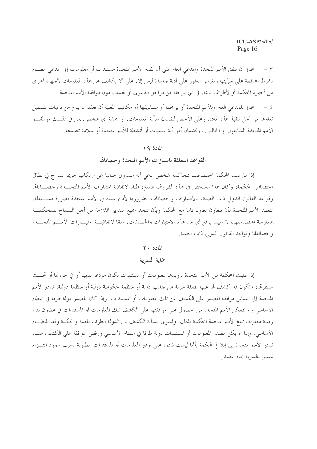يجوز أن تتفق الأمم المتحدة والمدعى العام على أن تقدم الأمم المتحدة مستندات أو معلومات إلى المدعى العسام  $\mathsf{r}$ بشرط المحافظة على سرِّيتها وبغرض العثور على أدلة حديدة ليس إلا، على ألا يكشف عن هذه المعلومات لأجهزة أخرى من أجهزة المحكمة أو لأطراف ثالثة، في أي مرحلة من مراحل الدعوى أو بعدها، دون موافقة الأمم المتحدة.

٤ – يجوز للمدعى العام وللأمم المتحدة أو برامجها أو صناديقها أو مكاتبها المعنية أن تعقد ما يلزم من ترتيات لتسهيل تعاولها من أحل تنفيذ هذه المادة، وعلى الأخص لضمان سرِّية المعلومات، أو حماية أي شخص، بمن في ذلـــك موظفـــو الأمم المتحدة السابقون أو الحاليون، ولضمان أمن أية عمليات أو أنشطة للأمم المتحدة أو سلامة تنفيذها.

#### المادة ١٩

# القواعد المتعلقة بامتيازات الأمم المتحدة وحصاناها

إذا مارست المحكمة اختصاصها بمحاكمة شخص ادعى أنه مسؤول جنائيا عن ارتكاب جريمة تندرج في نطاق احتصاص المحكمة، وكان هذا الشخص في هذه الظروف يتمتع، طبقا لاتفاقية امتيازات الأمم المتحــدة وحصـــاناقما وقواعد القانون الدولي ذات الصلة، بالامتيازات والحصانات الضرورية لأداء عمله في الأمم المتحدة بصورة مســـتقلة، تتعهد الأمم المتحدة بأن تتعاون تعاونا تاما مع المحكمة وبأن تتخذ جميع التدابير اللازمة من أجل السماح للمحكمـــة بممارسة اختصاصها، لا سيما برفع أي من هذه الامتيازات والحصانات، وفقا لاتفاقيـــة امتيــــازات الأمــــم المتحـــدة وحصاناها وقواعد القانون الدولي ذات الصلة.

#### المادة ٢٠

# حماية السرية

إذا طلبت المحكمة من الأمم المتحدة تزويدها بمعلومات أو مستندات تكون مودعة لديها أو في حوزقما أو تحست سيطرقما، وتكون قد كشف لها عنها بصفة سرية من حانب دولة أو منظمة حكومية دولية أو منظمة دولية، تبادر الأمم المتحدة إلى التماس موافقة المصدر على الكشف عن تلك المعلومات أو المستندات. وإذا كان المصدر دولة طرفا في النظام الأساسي ولم تتمكن الأمم المتحدة من الحصول على موافقتها على الكشف تلك المعلومات أو المستندات في غضون فترة زمنية معقولة، تبلغ الأمم المتحدة المحكمة بذلك، وتُسوى مسألة الكشف بين الدولة الطرف المعنية والمحكمة وفقا للنظــام الأساسي. وإذا لم يكن مصدر المعلومات أو المستندات دولة طرفا في النظام الأساسي ورفض الموافقة على الكشف عنها، تبادر الأمم المتحدة إلى إبلاغ المحكمة بألها ليست قادرة على توفير المعلومات أو المستندات المطلوبة بسبب وجود التـــزام مسبق بالسرية تجاه المصدر .